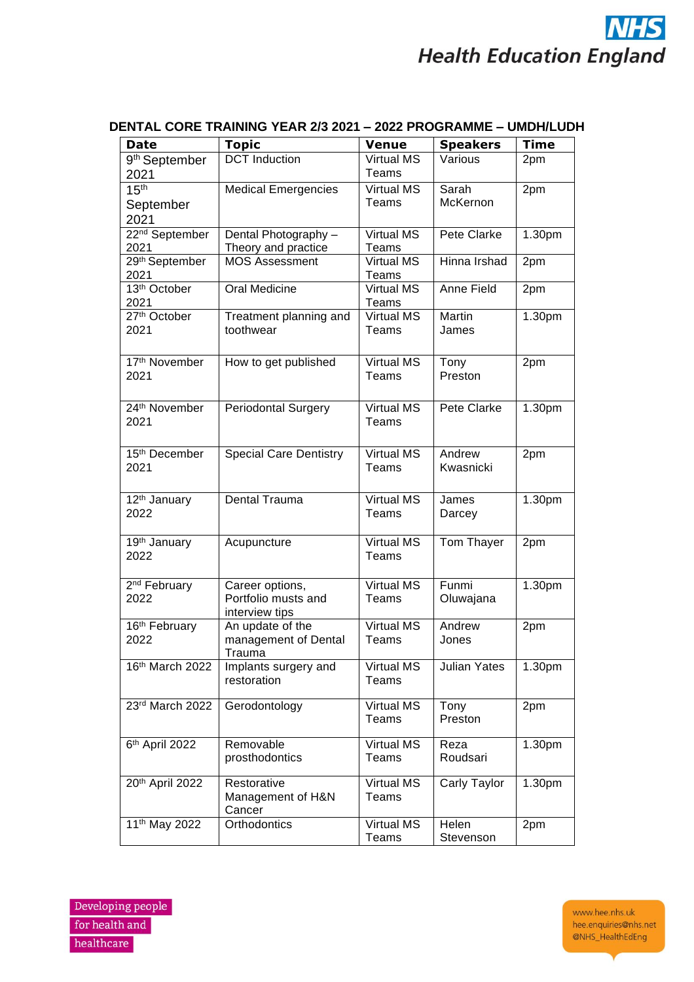## **NHS Health Education England**

| Date                       | <b>Topic</b>                  | <b>Venue</b>      | <b>Speakers</b>     | <b>Time</b> |
|----------------------------|-------------------------------|-------------------|---------------------|-------------|
| 9 <sup>th</sup> September  | <b>DCT</b> Induction          | <b>Virtual MS</b> | Various             | 2pm         |
| 2021                       |                               | Teams             |                     |             |
| 15 <sup>th</sup>           | <b>Medical Emergencies</b>    | <b>Virtual MS</b> | Sarah               | 2pm         |
| September                  |                               | Teams             | McKernon            |             |
| 2021                       |                               |                   |                     |             |
|                            |                               | <b>Virtual MS</b> | Pete Clarke         |             |
| 22 <sup>nd</sup> September | Dental Photography -          |                   |                     | 1.30pm      |
| 2021                       | Theory and practice           | Teams             |                     |             |
| 29th September             | <b>MOS Assessment</b>         | <b>Virtual MS</b> | Hinna Irshad        | 2pm         |
| 2021                       |                               | Teams             |                     |             |
| 13th October               | Oral Medicine                 | <b>Virtual MS</b> | Anne Field          | 2pm         |
| 2021                       |                               | Teams             |                     |             |
| 27th October               | Treatment planning and        | <b>Virtual MS</b> | Martin              | 1.30pm      |
| 2021                       | toothwear                     | Teams             | James               |             |
|                            |                               |                   |                     |             |
| 17th November              | How to get published          | <b>Virtual MS</b> | Tony                | 2pm         |
| 2021                       |                               | Teams             | Preston             |             |
|                            |                               |                   |                     |             |
|                            |                               |                   |                     |             |
| 24 <sup>th</sup> November  | <b>Periodontal Surgery</b>    | <b>Virtual MS</b> | Pete Clarke         | 1.30pm      |
| 2021                       |                               | Teams             |                     |             |
|                            |                               |                   |                     |             |
| 15th December              |                               | <b>Virtual MS</b> | Andrew              |             |
|                            | <b>Special Care Dentistry</b> |                   |                     | 2pm         |
| 2021                       |                               | Teams             | Kwasnicki           |             |
|                            |                               |                   |                     |             |
| 12 <sup>th</sup> January   | <b>Dental Trauma</b>          | <b>Virtual MS</b> | James               | 1.30pm      |
| 2022                       |                               | Teams             | Darcey              |             |
|                            |                               |                   |                     |             |
| 19th January               | Acupuncture                   | <b>Virtual MS</b> | Tom Thayer          | 2pm         |
| 2022                       |                               | Teams             |                     |             |
|                            |                               |                   |                     |             |
| 2 <sup>nd</sup> February   | Career options,               | <b>Virtual MS</b> | Funmi               | 1.30pm      |
| 2022                       | Portfolio musts and           | Teams             |                     |             |
|                            |                               |                   | Oluwajana           |             |
|                            | interview tips                |                   |                     |             |
| 16 <sup>th</sup> February  | An update of the              | <b>Virtual MS</b> | Andrew              | 2pm         |
| 2022                       | management of Dental          | Teams             | Jones               |             |
|                            | Trauma                        |                   |                     |             |
| 16th March 2022            | Implants surgery and          | Virtual MS        | <b>Julian Yates</b> | 1.30pm      |
|                            | restoration                   | Teams             |                     |             |
|                            |                               |                   |                     |             |
| 23rd March 2022            | Gerodontology                 | Virtual MS        | Tony                | 2pm         |
|                            |                               | Teams             | Preston             |             |
|                            |                               |                   |                     |             |
| 6th April 2022             | Removable                     | <b>Virtual MS</b> | Reza                | 1.30pm      |
|                            | prosthodontics                | Teams             | Roudsari            |             |
|                            |                               |                   |                     |             |
| 20th April 2022            | Restorative                   | Virtual MS        | Carly Taylor        | 1.30pm      |
|                            | Management of H&N             | Teams             |                     |             |
|                            | Cancer                        |                   |                     |             |
| 11 <sup>th</sup> May 2022  | Orthodontics                  | Virtual MS        | Helen               | 2pm         |
|                            |                               | <b>Teams</b>      | Stevenson           |             |

## **DENTAL CORE TRAINING YEAR 2/3 2021 – 2022 PROGRAMME – UMDH/LUDH**